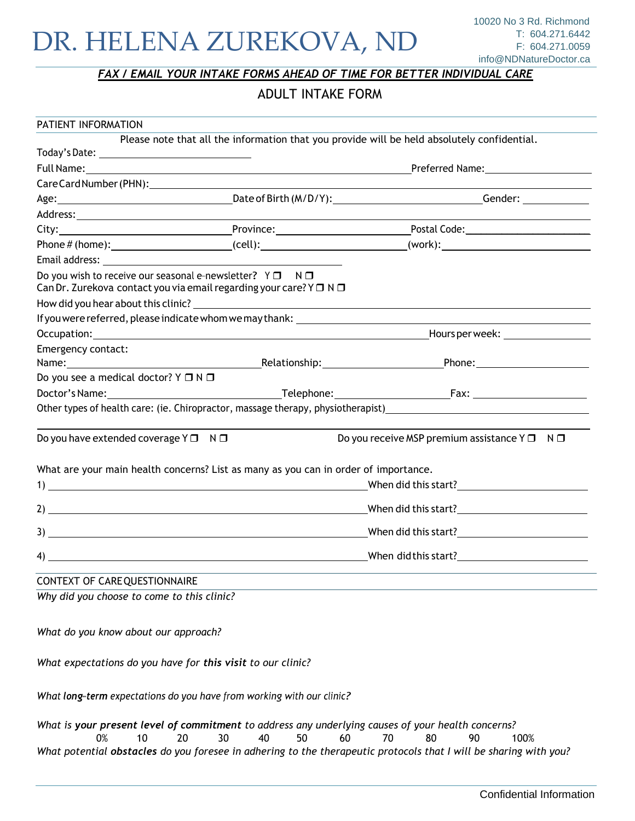### *FAX / EMAIL YOUR INTAKE FORMS AHEAD OF TIME FOR BETTER INDIVIDUAL CARE*

### ADULT INTAKE FORM

| PATIENT INFORMATION                                 |                                                                                                                                                                                                                                                                                                                                                                                      |                                                                                                                                                                                                                                                         |
|-----------------------------------------------------|--------------------------------------------------------------------------------------------------------------------------------------------------------------------------------------------------------------------------------------------------------------------------------------------------------------------------------------------------------------------------------------|---------------------------------------------------------------------------------------------------------------------------------------------------------------------------------------------------------------------------------------------------------|
|                                                     |                                                                                                                                                                                                                                                                                                                                                                                      | Please note that all the information that you provide will be held absolutely confidential.                                                                                                                                                             |
| Today's Date: __________________________________    |                                                                                                                                                                                                                                                                                                                                                                                      |                                                                                                                                                                                                                                                         |
|                                                     |                                                                                                                                                                                                                                                                                                                                                                                      |                                                                                                                                                                                                                                                         |
|                                                     | Care Card Number (PHN): Later and All Annual According to the Card Number of the Card According to the Card According to the Card According to the Card According to the Card According to the Card According to the Card Acco                                                                                                                                                       |                                                                                                                                                                                                                                                         |
|                                                     |                                                                                                                                                                                                                                                                                                                                                                                      | Age: Communication Communication Communication Communication Communication Communication Communication Communication Communication Communication Communication Communication Communication Communication Communication Communi                          |
|                                                     |                                                                                                                                                                                                                                                                                                                                                                                      |                                                                                                                                                                                                                                                         |
|                                                     |                                                                                                                                                                                                                                                                                                                                                                                      |                                                                                                                                                                                                                                                         |
|                                                     |                                                                                                                                                                                                                                                                                                                                                                                      | $Phone \# (home):$ $ (cell):$ $ (cell):$ $ (work):$                                                                                                                                                                                                     |
|                                                     |                                                                                                                                                                                                                                                                                                                                                                                      |                                                                                                                                                                                                                                                         |
|                                                     | Do you wish to receive our seasonal e-newsletter? $Y \Box \neg N \Box$<br>Can Dr. Zurekova contact you via email regarding your care? $Y \Box N \Box$                                                                                                                                                                                                                                |                                                                                                                                                                                                                                                         |
|                                                     |                                                                                                                                                                                                                                                                                                                                                                                      |                                                                                                                                                                                                                                                         |
|                                                     |                                                                                                                                                                                                                                                                                                                                                                                      |                                                                                                                                                                                                                                                         |
|                                                     |                                                                                                                                                                                                                                                                                                                                                                                      |                                                                                                                                                                                                                                                         |
| Emergency contact:                                  |                                                                                                                                                                                                                                                                                                                                                                                      |                                                                                                                                                                                                                                                         |
|                                                     |                                                                                                                                                                                                                                                                                                                                                                                      |                                                                                                                                                                                                                                                         |
| Do you see a medical doctor? $Y \square N \square$  |                                                                                                                                                                                                                                                                                                                                                                                      |                                                                                                                                                                                                                                                         |
|                                                     |                                                                                                                                                                                                                                                                                                                                                                                      |                                                                                                                                                                                                                                                         |
|                                                     |                                                                                                                                                                                                                                                                                                                                                                                      | Other types of health care: (ie. Chiropractor, massage therapy, physiotherapist)<br>Subsettion 2011                                                                                                                                                     |
| Do you have extended coverage $Y \Box \quad N \Box$ | What are your main health concerns? List as many as you can in order of importance.                                                                                                                                                                                                                                                                                                  | Do you receive MSP premium assistance $Y \Box \neg N \Box$                                                                                                                                                                                              |
|                                                     |                                                                                                                                                                                                                                                                                                                                                                                      |                                                                                                                                                                                                                                                         |
|                                                     |                                                                                                                                                                                                                                                                                                                                                                                      |                                                                                                                                                                                                                                                         |
|                                                     |                                                                                                                                                                                                                                                                                                                                                                                      |                                                                                                                                                                                                                                                         |
|                                                     | $\overline{a}$ $\overline{a}$ $\overline{a}$ $\overline{a}$ $\overline{a}$ $\overline{a}$ $\overline{a}$ $\overline{a}$ $\overline{a}$ $\overline{a}$ $\overline{a}$ $\overline{a}$ $\overline{a}$ $\overline{a}$ $\overline{a}$ $\overline{a}$ $\overline{a}$ $\overline{a}$ $\overline{a}$ $\overline{a}$ $\overline{a}$ $\overline{a}$ $\overline{a}$ $\overline{a}$ $\overline{$ |                                                                                                                                                                                                                                                         |
| CONTEXT OF CARE QUESTIONNAIRE                       |                                                                                                                                                                                                                                                                                                                                                                                      |                                                                                                                                                                                                                                                         |
| Why did you choose to come to this clinic?          |                                                                                                                                                                                                                                                                                                                                                                                      |                                                                                                                                                                                                                                                         |
| What do you know about our approach?                |                                                                                                                                                                                                                                                                                                                                                                                      |                                                                                                                                                                                                                                                         |
|                                                     | What expectations do you have for this visit to our clinic?                                                                                                                                                                                                                                                                                                                          |                                                                                                                                                                                                                                                         |
|                                                     | What long-term expectations do you have from working with our clinic?                                                                                                                                                                                                                                                                                                                |                                                                                                                                                                                                                                                         |
| 0%<br>10                                            | 20<br>30<br>40<br>50                                                                                                                                                                                                                                                                                                                                                                 | What is your present level of commitment to address any underlying causes of your health concerns?<br>60<br>70<br>80<br>90<br>100%<br>What potential obstacles do you foresee in adhering to the therapeutic protocols that I will be sharing with you? |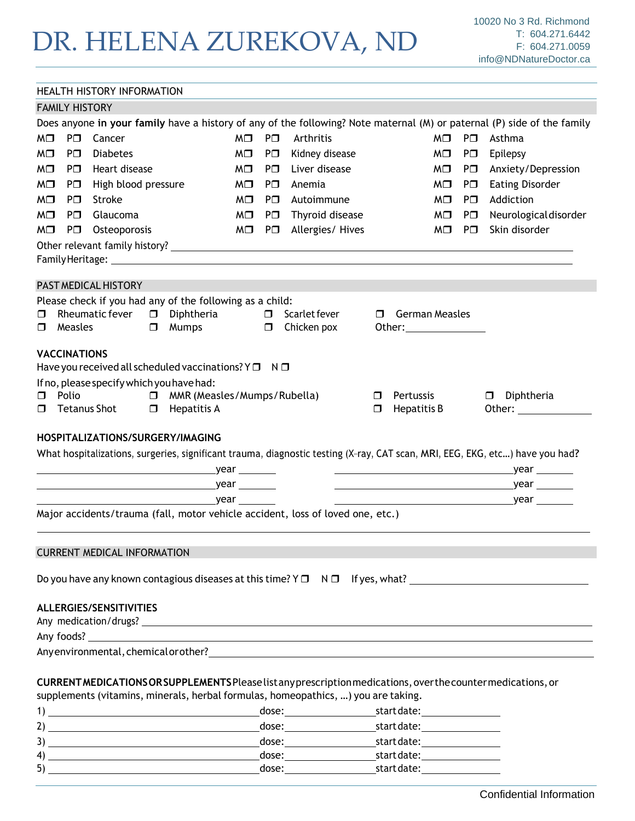|                                                                                                                         |                       | <b>HEALTH HISTORY INFORMATION</b>                                                                                                                                                                                              |                 |            |                                    |                                              |            |                                                 |
|-------------------------------------------------------------------------------------------------------------------------|-----------------------|--------------------------------------------------------------------------------------------------------------------------------------------------------------------------------------------------------------------------------|-----------------|------------|------------------------------------|----------------------------------------------|------------|-------------------------------------------------|
|                                                                                                                         | <b>FAMILY HISTORY</b> |                                                                                                                                                                                                                                |                 |            |                                    |                                              |            |                                                 |
| Does anyone in your family have a history of any of the following? Note maternal (M) or paternal (P) side of the family |                       |                                                                                                                                                                                                                                |                 |            |                                    |                                              |            |                                                 |
| M⊡                                                                                                                      | $P\square$            | Cancer                                                                                                                                                                                                                         | $MD$ $P\square$ |            | Arthritis                          | M□                                           | P⊟         | Asthma                                          |
| MO                                                                                                                      | P⊟                    | <b>Diabetes</b>                                                                                                                                                                                                                | M□              | P⊟         | Kidney disease                     | M□                                           | $P\square$ | Epilepsy                                        |
| M⊡                                                                                                                      | P⊟.                   | Heart disease                                                                                                                                                                                                                  | M⊡.             | PO.        | Liver disease                      | M⊡                                           | P⊟         | Anxiety/Depression                              |
| $M\Box$                                                                                                                 | P□                    | High blood pressure                                                                                                                                                                                                            | M⊡              | $P\square$ | Anemia                             | M⊡ I                                         | P⊟         | <b>Eating Disorder</b>                          |
| M⊡                                                                                                                      | P⊡.                   | Stroke                                                                                                                                                                                                                         | M⊡.             | $P\square$ | Autoimmune                         | M□                                           | PO.        | Addiction                                       |
| MO                                                                                                                      | $P\square$            | Glaucoma                                                                                                                                                                                                                       | $MD$ $P\square$ |            | Thyroid disease                    | $MD$ $P\square$                              |            | Neurological disorder                           |
| $M\Box$                                                                                                                 | P⊟                    | Osteoporosis                                                                                                                                                                                                                   |                 |            | $M \Box$ P $\Box$ Allergies/ Hives | MO PO                                        |            | Skin disorder                                   |
|                                                                                                                         |                       |                                                                                                                                                                                                                                |                 |            |                                    |                                              |            |                                                 |
|                                                                                                                         |                       |                                                                                                                                                                                                                                |                 |            |                                    |                                              |            |                                                 |
|                                                                                                                         |                       | PAST MEDICAL HISTORY                                                                                                                                                                                                           |                 |            |                                    |                                              |            |                                                 |
|                                                                                                                         |                       |                                                                                                                                                                                                                                |                 |            |                                    |                                              |            |                                                 |
| □                                                                                                                       |                       | Please check if you had any of the following as a child:<br>Rheumatic fever<br>Diphtheria<br>$\Box$                                                                                                                            | $\Box$          |            | Scarlet fever                      | German Measles<br>Ω.                         |            |                                                 |
| Π.                                                                                                                      | Measles               | $\Box$<br>Mumps                                                                                                                                                                                                                |                 | $\Box$     | Chicken pox                        |                                              |            |                                                 |
|                                                                                                                         |                       |                                                                                                                                                                                                                                |                 |            |                                    |                                              |            |                                                 |
|                                                                                                                         | <b>VACCINATIONS</b>   |                                                                                                                                                                                                                                |                 |            |                                    |                                              |            |                                                 |
|                                                                                                                         |                       | Have you received all scheduled vaccinations? $Y \Box \neg N \Box$                                                                                                                                                             |                 |            |                                    |                                              |            |                                                 |
|                                                                                                                         |                       | If no, please specify which you have had:                                                                                                                                                                                      |                 |            |                                    |                                              |            |                                                 |
| П.<br>П.                                                                                                                | Polio                 | MMR (Measles/Mumps/Rubella)<br>$\Box$<br>Tetanus Shot □ Hepatitis A                                                                                                                                                            |                 |            |                                    | Pertussis<br>$\Box$<br>Hepatitis B<br>$\Box$ |            | Diphtheria<br>$\Box$<br>Other: ________________ |
|                                                                                                                         |                       |                                                                                                                                                                                                                                |                 |            |                                    |                                              |            |                                                 |
|                                                                                                                         |                       | HOSPITALIZATIONS/SURGERY/IMAGING                                                                                                                                                                                               |                 |            |                                    |                                              |            |                                                 |
|                                                                                                                         |                       | What hospitalizations, surgeries, significant trauma, diagnostic testing (X-ray, CAT scan, MRI, EEG, EKG, etc) have you had?                                                                                                   |                 |            |                                    |                                              |            |                                                 |
|                                                                                                                         |                       |                                                                                                                                                                                                                                |                 |            |                                    |                                              |            |                                                 |
|                                                                                                                         |                       |                                                                                                                                                                                                                                |                 |            |                                    |                                              |            |                                                 |
|                                                                                                                         |                       |                                                                                                                                                                                                                                |                 |            |                                    |                                              |            |                                                 |
|                                                                                                                         |                       | Major accidents/trauma (fall, motor vehicle accident, loss of loved one, etc.)                                                                                                                                                 |                 |            |                                    |                                              |            |                                                 |
|                                                                                                                         |                       |                                                                                                                                                                                                                                |                 |            |                                    |                                              |            |                                                 |
|                                                                                                                         |                       | <b>CURRENT MEDICAL INFORMATION</b>                                                                                                                                                                                             |                 |            |                                    |                                              |            |                                                 |
|                                                                                                                         |                       |                                                                                                                                                                                                                                |                 |            |                                    |                                              |            |                                                 |
|                                                                                                                         |                       |                                                                                                                                                                                                                                |                 |            |                                    |                                              |            |                                                 |
|                                                                                                                         |                       |                                                                                                                                                                                                                                |                 |            |                                    |                                              |            |                                                 |
|                                                                                                                         |                       | ALLERGIES/SENSITIVITIES                                                                                                                                                                                                        |                 |            |                                    |                                              |            |                                                 |
|                                                                                                                         |                       |                                                                                                                                                                                                                                |                 |            |                                    |                                              |            |                                                 |
|                                                                                                                         |                       |                                                                                                                                                                                                                                |                 |            |                                    |                                              |            |                                                 |
|                                                                                                                         |                       | Any environmental, chemical or other? Any and the control of the control of the control of the control of the control of the control of the control of the control of the control of the control of the control of the control |                 |            |                                    |                                              |            |                                                 |
|                                                                                                                         |                       |                                                                                                                                                                                                                                |                 |            |                                    |                                              |            |                                                 |
|                                                                                                                         |                       | CURRENTMEDICATIONSORSUPPLEMENTS Please list any prescription medications, over the counter medications, or                                                                                                                     |                 |            |                                    |                                              |            |                                                 |
|                                                                                                                         |                       | supplements (vitamins, minerals, herbal formulas, homeopathics, ) you are taking.                                                                                                                                              |                 |            |                                    |                                              |            |                                                 |
|                                                                                                                         |                       |                                                                                                                                                                                                                                |                 |            |                                    |                                              |            |                                                 |
|                                                                                                                         |                       |                                                                                                                                                                                                                                |                 |            |                                    | dose: start date: start date:                |            |                                                 |
|                                                                                                                         |                       | 3)                                                                                                                                                                                                                             |                 |            |                                    |                                              |            |                                                 |

| 4) | ---- | ----<br>714         |  |
|----|------|---------------------|--|
| 5) | .    | ----<br>паге<br>uu. |  |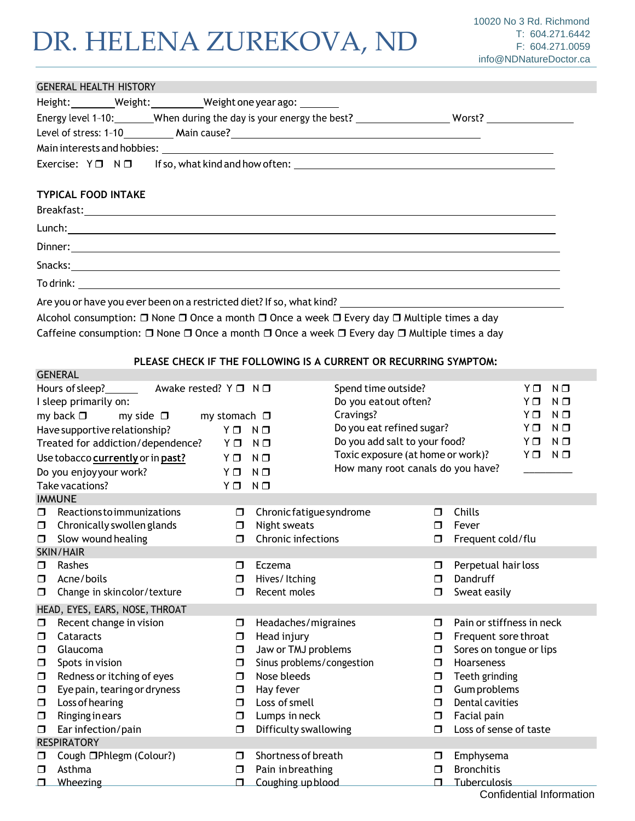### GENERAL HEALTH HISTORY Height: Weight: Weight: Weight one year ago: Weight: Energy level 1-10: When during the day is your energy the best? Worst? Worst? Worst? Worst? West? Level of stress: 1-10 Main cause? Main interests and hobbies: Exercise: Y N If so, what kind and how often:

### **TYPICAL FOOD INTAKE**

**GENERAL** 

| Are you or have you ever been on a restricted diet? If so, what kind? ______________________________ |
|------------------------------------------------------------------------------------------------------|

Alcohol consumption:  $\Box$  None  $\Box$  Once a month  $\Box$  Once a week  $\Box$  Every day  $\Box$  Multiple times a day Caffeine consumption:  $\Box$  None  $\Box$  Once a month  $\Box$  Once a week  $\Box$  Every day  $\Box$  Multiple times a day

#### **PLEASE CHECK IF THE FOLLOWING IS A CURRENT OR RECURRING SYMPTOM:**

|        | Hours of sleep?<br>Awake rested? $Y \Box N \Box$<br>I sleep primarily on: |                      |                           | Spend time outside?<br>Do you eatout often? |        | YΠ<br>$N$ $\square$<br>ΥO<br>$N$ $\Box$ |
|--------|---------------------------------------------------------------------------|----------------------|---------------------------|---------------------------------------------|--------|-----------------------------------------|
|        | my back $\square$<br>my side $\square$                                    | my stomach $\square$ |                           | Cravings?                                   |        | ΥO<br>$N$ $\Box$                        |
|        |                                                                           |                      |                           | Do you eat refined sugar?                   |        | ΥO<br>$N$ $\Box$                        |
|        | Have supportive relationship?                                             | YO                   | $N$ $\square$             | Do you add salt to your food?               |        | $N$ $\Box$<br>Y □                       |
|        | Treated for addiction/dependence?                                         | YΟ                   | $N$ $\Box$                | Toxic exposure (at home or work)?           |        | YΠ<br>$N$ $\Box$                        |
|        | Use tobacco currently or in past?                                         | ΥO                   | $N$ $\Box$                |                                             |        |                                         |
|        | Do you enjoyyour work?                                                    | ΥO                   | $N$ $\Box$                | How many root canals do you have?           |        |                                         |
|        | Take vacations?                                                           | YΠ                   | $N$ $\Box$                |                                             |        |                                         |
|        | <b>IMMUNE</b>                                                             |                      |                           |                                             |        |                                         |
| ◘      | <b>Reactions to immunizations</b>                                         | $\Box$               | Chronic fatigue syndrome  |                                             | □      | Chills                                  |
| $\Box$ | Chronically swollen glands                                                | ◘                    | Night sweats              |                                             | ⊓      | Fever                                   |
| $\Box$ | Slow wound healing                                                        | $\Box$               | Chronic infections        |                                             | □      | Frequent cold/flu                       |
|        | <b>SKIN/HAIR</b>                                                          |                      |                           |                                             |        |                                         |
| ◘      | Rashes                                                                    | $\Box$               | Eczema                    |                                             | ◘      | Perpetual hair loss                     |
| □      | Acne/boils                                                                | □                    | Hives/Itching             |                                             | $\Box$ | Dandruff                                |
| ◘      | Change in skincolor/texture                                               | $\Box$               | Recent moles              |                                             | ◘      | Sweat easily                            |
|        | HEAD, EYES, EARS, NOSE, THROAT                                            |                      |                           |                                             |        |                                         |
| ◘      | Recent change in vision                                                   | $\Box$               | Headaches/migraines       |                                             | □      | Pain or stiffness in neck               |
| $\Box$ | Cataracts                                                                 | $\Box$               | Head injury               |                                             | $\Box$ | Frequent sore throat                    |
| $\Box$ | Glaucoma                                                                  | ◘                    | Jaw or TMJ problems       |                                             | $\Box$ | Sores on tongue or lips                 |
| $\Box$ | Spots in vision                                                           | □                    | Sinus problems/congestion |                                             | $\Box$ | Hoarseness                              |
| ◘      | Redness or itching of eyes                                                | ⊓                    | Nose bleeds               |                                             | $\Box$ | Teeth grinding                          |
| $\Box$ | Eye pain, tearing or dryness                                              | ▢                    | Hay fever                 |                                             | $\Box$ | Gum problems                            |
| $\Box$ | Loss of hearing                                                           | $\Box$               | Loss of smell             |                                             | $\Box$ | <b>Dental cavities</b>                  |
| $\Box$ | <b>Ringing in ears</b>                                                    | ◘                    | Lumps in neck             |                                             | $\Box$ | Facial pain                             |
| $\Box$ | Ear infection/pain                                                        | $\Box$               | Difficulty swallowing     |                                             | $\Box$ | Loss of sense of taste                  |
|        | <b>RESPIRATORY</b>                                                        |                      |                           |                                             |        |                                         |
| $\Box$ | Cough □Phlegm (Colour?)                                                   | $\Box$               | Shortness of breath       |                                             | □      | Emphysema                               |
| $\Box$ | Asthma                                                                    | $\Box$               | Pain inbreathing          |                                             | $\Box$ | <b>Bronchitis</b>                       |
|        | Wheezing                                                                  | $\Box$               | Coughing upblood          |                                             | $\Box$ | Tuberculosis                            |
|        |                                                                           |                      |                           |                                             |        | Confidential Information                |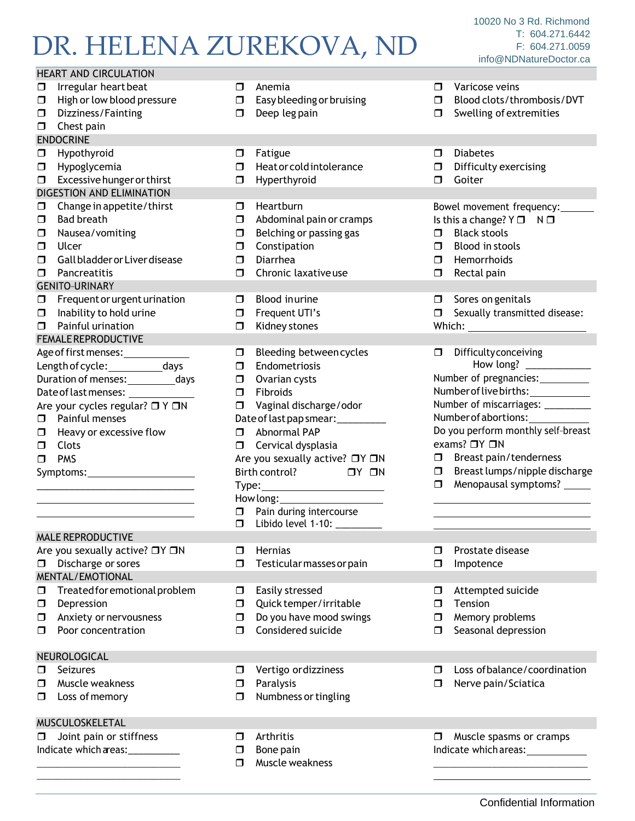| <b>HEART AND CIRCULATION</b>                                                                                                                                                                                                                                                                                                                |                                                               |                                                                                                                                                                                                                                                                                                                                                                  |                                  |                                                                                                                                                                                                                                                                                                                                                                           |
|---------------------------------------------------------------------------------------------------------------------------------------------------------------------------------------------------------------------------------------------------------------------------------------------------------------------------------------------|---------------------------------------------------------------|------------------------------------------------------------------------------------------------------------------------------------------------------------------------------------------------------------------------------------------------------------------------------------------------------------------------------------------------------------------|----------------------------------|---------------------------------------------------------------------------------------------------------------------------------------------------------------------------------------------------------------------------------------------------------------------------------------------------------------------------------------------------------------------------|
| Irregular heart beat<br>$\Box$<br>High or low blood pressure<br>$\Box$<br>Dizziness/Fainting<br>$\Box$<br>Chest pain<br>$\Box$                                                                                                                                                                                                              | $\Box$<br>$\Box$<br>□                                         | Anemia<br>Easy bleeding or bruising<br>Deep leg pain                                                                                                                                                                                                                                                                                                             | □<br>◻<br>□                      | Varicose veins<br>Blood clots/thrombosis/DVT<br>Swelling of extremities                                                                                                                                                                                                                                                                                                   |
| <b>ENDOCRINE</b>                                                                                                                                                                                                                                                                                                                            |                                                               |                                                                                                                                                                                                                                                                                                                                                                  |                                  |                                                                                                                                                                                                                                                                                                                                                                           |
| Hypothyroid<br>$\Box$<br>Hypoglycemia<br>$\Box$<br>Excessive hunger or thirst<br>$\Box$<br>DIGESTION AND ELIMINATION                                                                                                                                                                                                                        | $\Box$<br>$\Box$<br>$\Box$                                    | Fatigue<br>Heat or cold intolerance<br>Hyperthyroid                                                                                                                                                                                                                                                                                                              | $\Box$<br>$\Box$<br>□            | <b>Diabetes</b><br>Difficulty exercising<br>Goiter                                                                                                                                                                                                                                                                                                                        |
| Change in appetite/thirst<br>$\Box$<br><b>Bad breath</b><br>$\Box$<br>Nausea/vomiting<br>□<br>Ulcer<br>$\Box$<br>Gall bladder or Liver disease<br>□<br>Pancreatitis<br>0<br><b>GENITO-URINARY</b>                                                                                                                                           | $\Box$<br>$\Box$<br>$\Box$<br>$\Box$<br>$\Box$<br>$\Box$      | Heartburn<br>Abdominal pain or cramps<br>Belching or passing gas<br>Constipation<br>Diarrhea<br>Chronic laxative use                                                                                                                                                                                                                                             | $\Box$<br>$\Box$<br>$\Box$<br>0. | Bowel movement frequency:<br>Is this a change? $Y \Box$<br>$N$ $\Box$<br><b>Black stools</b><br>Blood in stools<br>Hemorrhoids<br>Rectal pain                                                                                                                                                                                                                             |
| Frequent or urgent urination<br>$\Box$<br>Inability to hold urine<br>$\Box$<br>Painful urination<br>$\Box$                                                                                                                                                                                                                                  | $\Box$<br>$\Box$<br>$\Box$                                    | Blood inurine<br>Frequent UTI's<br>Kidney stones                                                                                                                                                                                                                                                                                                                 | σ.<br>σ.                         | Sores on genitals<br>Sexually transmitted disease:<br>Which: _________________________                                                                                                                                                                                                                                                                                    |
| FEMALE REPRODUCTIVE<br>Age of first menses: _____________<br>Length of cycle: ____________days<br>Duration of menses: ___________ days<br>Are your cycles regular? □ Y □N<br>$\Box$ Painful menses<br>Heavy or excessive flow<br>$\Box$<br>Clots<br>$\Box$<br><b>PMS</b><br>0<br><b>MALE REPRODUCTIVE</b><br>Are you sexually active? □Y □N | $\Box$<br>$\Box$<br>$\Box$<br>$\Box$<br>$\Box$<br>$\Box$<br>□ | Bleeding between cycles<br>Endometriosis<br>Ovarian cysts<br>Fibroids<br>Vaginal discharge/odor<br>Date of last pap smear: __________<br>Abnormal PAP<br><b>I</b> Cervical dysplasia<br>Are you sexually active? □Y □N<br>Birth control? □ Y □ N<br>Type: _________________________<br>$\Box$ Pain during intercourse<br>□ Libido level 1-10: _______<br>Hernias | $\Box$<br>$\Box$<br>$\Box$<br>□  | <b>Difficulty conceiving</b><br>How long? _____________<br>Number of pregnancies:__________<br>Number of live births: ____________<br>Number of miscarriages: ________<br>Number of abortions:<br>Do you perform monthly self-breast<br>exams? □Y □N<br>$\Box$ Breast pain/tenderness<br>Breast lumps/nipple discharge<br>Menopausal symptoms? ______<br>Prostate disease |
| Discharge or sores<br>□<br>MENTAL/EMOTIONAL                                                                                                                                                                                                                                                                                                 | □                                                             | Testicular masses or pain                                                                                                                                                                                                                                                                                                                                        | ◻                                | Impotence                                                                                                                                                                                                                                                                                                                                                                 |
| Treated for emotional problem<br>□<br>Depression<br>$\Box$<br>Anxiety or nervousness<br>□<br>Poor concentration<br>□                                                                                                                                                                                                                        | $\Box$<br>□<br>◘<br>$\Box$                                    | Easily stressed<br>Quick temper/irritable<br>Do you have mood swings<br>Considered suicide                                                                                                                                                                                                                                                                       | □<br>□<br>□<br>◻                 | Attempted suicide<br>Tension<br>Memory problems<br>Seasonal depression                                                                                                                                                                                                                                                                                                    |
| NEUROLOGICAL<br>Seizures<br>□<br>Muscle weakness<br>□<br>Loss of memory<br>□                                                                                                                                                                                                                                                                | □<br>□<br>□                                                   | Vertigo or dizziness<br>Paralysis<br>Numbness or tingling                                                                                                                                                                                                                                                                                                        | ◻<br>◻                           | Loss of balance/coordination<br>Nerve pain/Sciatica                                                                                                                                                                                                                                                                                                                       |
| MUSCULOSKELETAL<br>Joint pain or stiffness<br>□<br>Indicate which areas:___________                                                                                                                                                                                                                                                         | □<br>□<br>$\Box$                                              | Arthritis<br>Bone pain<br>Muscle weakness                                                                                                                                                                                                                                                                                                                        | □                                | Muscle spasms or cramps<br>Indicate which areas: 1992                                                                                                                                                                                                                                                                                                                     |
|                                                                                                                                                                                                                                                                                                                                             |                                                               |                                                                                                                                                                                                                                                                                                                                                                  |                                  |                                                                                                                                                                                                                                                                                                                                                                           |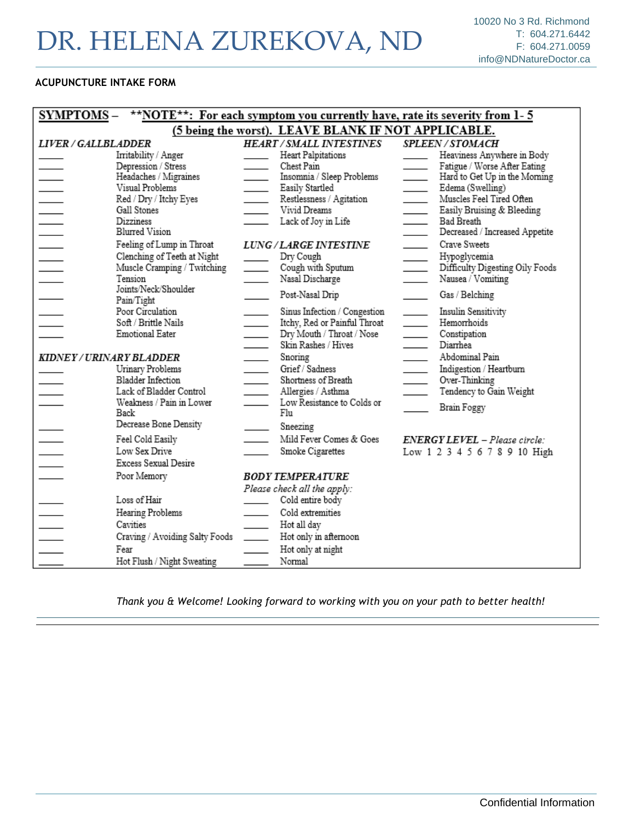### **ACUPUNCTURE INTAKE FORM**

| <b>SYMPTOMS –</b>                                   |                                                                                                                            | **NOTE**: For each symptom you currently have, rate its severity from 1-5                                                                                                                   |                                                                                                                                                                                                                |  |  |
|-----------------------------------------------------|----------------------------------------------------------------------------------------------------------------------------|---------------------------------------------------------------------------------------------------------------------------------------------------------------------------------------------|----------------------------------------------------------------------------------------------------------------------------------------------------------------------------------------------------------------|--|--|
| (5 being the worst). LEAVE BLANK IF NOT APPLICABLE. |                                                                                                                            |                                                                                                                                                                                             |                                                                                                                                                                                                                |  |  |
| LIVER / GALLBLADDER                                 |                                                                                                                            | <b>HEART/SMALL INTESTINES</b>                                                                                                                                                               | <b>SPLEEN/STOMACH</b>                                                                                                                                                                                          |  |  |
|                                                     | Irritability / Anger<br>Depression / Stress<br>Headaches / Migraines                                                       | Heart Palpitations<br>Chest Pain<br>Insomnia / Sleep Problems                                                                                                                               | Heaviness Anywhere in Body<br>Fatigue / Worse After Eating<br>$\overline{\phantom{0}}$<br>Hard to Get Up in the Moming                                                                                         |  |  |
| $\mathbb{R}^2$                                      | Visual Problems<br>Red / Dry / Itchy Eyes<br>Gall Stones<br>Dizziness<br>Blurred Vision                                    | Easily Startled<br>$\overline{\phantom{0}}$<br>Restlessness / Agitation<br>Vivid Dreams<br>Lack of Joy in Life                                                                              | Edema (Swelling)<br>$\overline{\phantom{0}}$<br>Muscles Feel Tired Often<br>$\overline{\phantom{0}}$<br>Easily Bruising & Bleeding<br>$\overline{\phantom{0}}$<br>Bad Breath<br>Decreased / Increased Appetite |  |  |
| $\overline{\phantom{0}}$                            | Feeling of Lump in Throat<br>Clenching of Teeth at Night<br>Muscle Cramping / Twitching<br>Tension<br>Joints/Neck/Shoulder | LUNG / LARGE INTESTINE<br>Dry Cough<br>$\overline{\phantom{0}}$<br>$\overline{\phantom{0}}$<br>Cough with Sputum<br>Nasal Discharge<br>$\sim$ 100 $\mu$                                     | Crave Sweets<br>Hypoglycemia<br>Difficulty Digesting Oily Foods<br>Nausea / Vomiting                                                                                                                           |  |  |
|                                                     | Pain/Tight<br>Poor Circulation<br>Soft / Brittle Nails<br>Emotional Eater                                                  | Post-Nasal Drip<br>Sinus Infection / Congestion<br>Itchy, Red or Painful Throat<br>$\overline{\phantom{0}}$<br>Dry Mouth / Throat / Nose<br>$\overline{\phantom{0}}$<br>Skin Rashes / Hives | Gas / Belching<br>Insulin Sensitivity<br>$\overline{\phantom{0}}$<br>Hemorrhoids<br>$\overline{\phantom{0}}$<br>Constipation<br>Diarrhea                                                                       |  |  |
| KIDNEY/URINARY BLADDER                              | Urinary Problems<br>Bladder Infection<br>Lack of Bladder Control<br>Weakness / Pain in Lower<br>Back                       | Snoring<br>Grief / Sadness<br>Shortness of Breath<br>Allergies / Asthma<br>Low Resistance to Colds or<br>Flu                                                                                | Abdominal Pain<br>Indigestion / Heartburn<br>Over-Thinking<br>Tendency to Gain Weight<br>Brain Foggy                                                                                                           |  |  |
|                                                     | Decrease Bone Density<br>Feel Cold Easily<br>Low Sex Drive<br>Excess Sexual Desire                                         | Sneezing<br>Mild Fever Comes & Goes<br>Smoke Cigarettes                                                                                                                                     | ENERGY LEVEL – Please circle:<br>Low 1 2 3 4 5 6 7 8 9 10 High                                                                                                                                                 |  |  |
|                                                     | Poor Memory                                                                                                                | BODY TEMPERATURE<br>Please check all the apply:                                                                                                                                             |                                                                                                                                                                                                                |  |  |
|                                                     | Loss of Hair<br>Hearing Problems<br>Cavities<br>Craving / Avoiding Salty Foods<br>Fear                                     | Cold entire body<br>Cold extremities<br>Hot all day<br>Hot only in afternoon<br>Hot only at night                                                                                           |                                                                                                                                                                                                                |  |  |
|                                                     | Hot Flush / Night Sweating                                                                                                 | Normal                                                                                                                                                                                      |                                                                                                                                                                                                                |  |  |

*Thank you & Welcome! Looking forward to working with you on your path to better health!*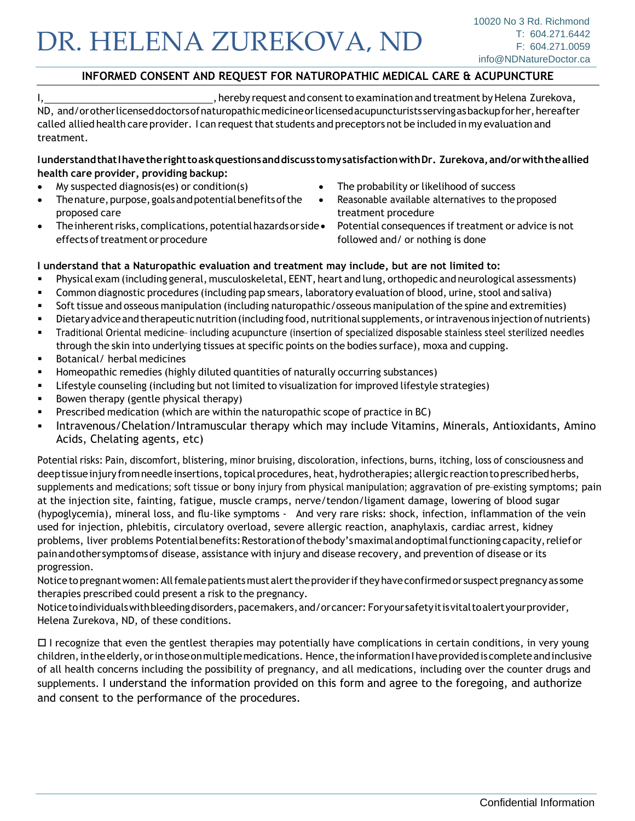### **INFORMED CONSENT AND REQUEST FOR NATUROPATHIC MEDICAL CARE & ACUPUNCTURE**

I, , hereby request and consentto examination and treatment byHelena Zurekova,

ND, and/orotherlicenseddoctorsofnaturopathicmedicine or licensed acupuncturists serving as backupforher, hereafter called allied health care provider. I can request that students and preceptors not be included in my evaluation and treatment.

#### **IunderstandthatIhavetherighttoaskquestionsanddiscusstomysatisfactionwithDr. Zurekova,and/orwiththeallied health care provider, providing backup:**

- My suspected diagnosis(es) or condition(s)
- Thenature, purpose, goals and potential benefits of the proposed care
- Theinherentrisks,complications,potentialhazardsor side• Potential consequences iftreatment or advice is not effects of treatment or procedure followed and/ or nothing is done
- The probability or likelihood of success
- Reasonable available alternatives to the proposed treatment procedure

### **I understand that a Naturopathic evaluation and treatment may include, but are not limited to:**

- Physical exam (including general, musculoskeletal, EENT, heart and lung, orthopedic and neurological assessments)
- Common diagnostic procedures (including pap smears, laboratory evaluation of blood, urine, stool and saliva)
- **•** Soft tissue and osseous manipulation (including naturopathic/osseous manipulation of the spine and extremities)
- Dietaryadviceandtherapeuticnutrition(including food,nutritional supplements,orintravenous injectionofnutrients)
- Traditional Oriental medicine- including acupuncture (insertion of specialized disposable stainless steel sterilized needles through the skin into underlying tissues at specific points on the bodies surface), moxa and cupping.
- Botanical/ herbal medicines
- Homeopathic remedies (highly diluted quantities of naturally occurring substances)
- Lifestyle counseling (including but not limited to visualization for improved lifestyle strategies)
- Bowen therapy (gentle physical therapy)
- Prescribed medication (which are within the naturopathic scope of practice in BC)
- Intravenous/Chelation/Intramuscular therapy which may include Vitamins, Minerals, Antioxidants, Amino Acids, Chelating agents, etc)

Potential risks: Pain, discomfort, blistering, minor bruising, discoloration, infections, burns, itching, loss of consciousness and deeptissue injury from needle insertions, topical procedures, heat, hydrotherapies; allergic reaction to prescribed herbs, supplements and medications; soft tissue or bony injury from physical manipulation; aggravation of pre-existing symptoms; pain at the injection site, fainting, fatigue, muscle cramps, nerve/tendon/ligament damage, lowering of blood sugar (hypoglycemia), mineral loss, and flu-like symptoms - And very rare risks: shock, infection, inflammation of the vein used for injection, phlebitis, circulatory overload, severe allergic reaction, anaphylaxis, cardiac arrest, kidney problems, liver problems Potentialbenefits: Restoration of the body's maximal and optimal functioning capacity, relief or painandothersymptomsof disease, assistance with injury and disease recovery, and prevention of disease or its progression.

Notice to pregnant women: All female patients must alert the provider if they have confirmed or suspect pregnancy as some therapies prescribed could present a risk to the pregnancy.

Noticetoindividualswithbleedingdisorders, pacemakers, and/orcancer: Foryoursafetyitisvital toalertyourprovider, Helena Zurekova, ND, of these conditions.

 $\Box$  I recognize that even the gentlest therapies may potentially have complications in certain conditions, in very young children, in the elderly, or in those on multiple medications. Hence, the information I have provided is complete and inclusive of all health concerns including the possibility of pregnancy, and all medications, including over the counter drugs and supplements. I understand the information provided on this form and agree to the foregoing, and authorize and consent to the performance of the procedures.